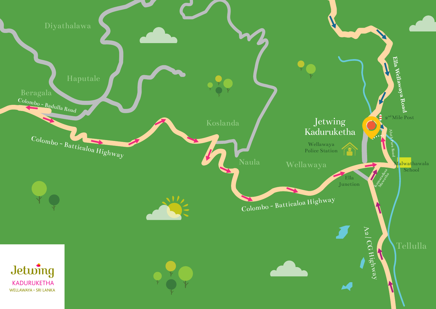